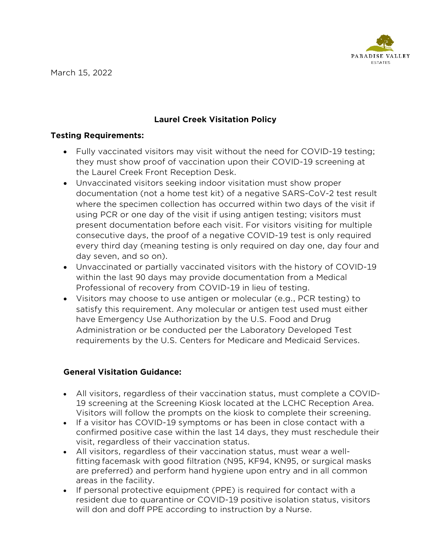

March 15, 2022

# **Laurel Creek Visitation Policy**

### **Testing Requirements:**

- Fully vaccinated visitors may visit without the need for COVID-19 testing; they must show proof of vaccination upon their COVID-19 screening at the Laurel Creek Front Reception Desk.
- Unvaccinated visitors seeking indoor visitation must show proper documentation (not a home test kit) of a negative SARS-CoV-2 test result where the specimen collection has occurred within two days of the visit if using PCR or one day of the visit if using antigen testing; visitors must present documentation before each visit. For visitors visiting for multiple consecutive days, the proof of a negative COVID-19 test is only required every third day (meaning testing is only required on day one, day four and day seven, and so on).
- Unvaccinated or partially vaccinated visitors with the history of COVID-19 within the last 90 days may provide documentation from a Medical Professional of recovery from COVID-19 in lieu of testing.
- Visitors may choose to use antigen or molecular (e.g., PCR testing) to satisfy this requirement. Any molecular or antigen test used must either have Emergency Use Authorization by the U.S. Food and Drug Administration or be conducted per the Laboratory Developed Test requirements by the U.S. Centers for Medicare and Medicaid Services.

## **General Visitation Guidance:**

- All visitors, regardless of their vaccination status, must complete a COVID-19 screening at the Screening Kiosk located at the LCHC Reception Area. Visitors will follow the prompts on the kiosk to complete their screening.
- If a visitor has COVID-19 symptoms or has been in close contact with a confirmed positive case within the last 14 days, they must reschedule their visit, regardless of their vaccination status.
- All visitors, regardless of their vaccination status, must wear a wellfitting [facemask](https://www.cdph.ca.gov/Programs/CID/DCDC/Pages/COVID-19/Get-the-Most-out-of-Masking.aspx) with good filtration (N95, KF94, KN95, or surgical masks are preferred) and perform hand hygiene upon entry and in all common areas in the facility.
- If personal protective equipment (PPE) is required for contact with a resident due to quarantine or COVID-19 positive isolation status, visitors will don and doff PPE according to instruction by a Nurse.